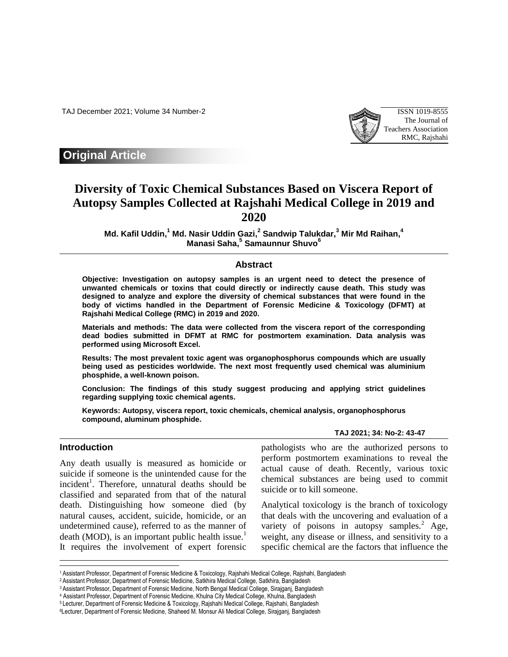TAJ December 2021; Volume 34 Number-2 ISSN 1019-8555



## **Original Article**

# **Diversity of Toxic Chemical Substances Based on Viscera Report of Autopsy Samples Collected at Rajshahi Medical College in 2019 and 2020**

**Md. Kafil Uddin, <sup>1</sup> Md. Nasir Uddin Gazi, 2 Sandwip Talukdar, <sup>3</sup> Mir Md Raihan, 4 Manasi Saha, 5 Samaunnur Shuvo<sup>6</sup>**

### **Abstract**

**Objective: Investigation on autopsy samples is an urgent need to detect the presence of unwanted chemicals or toxins that could directly or indirectly cause death. This study was designed to analyze and explore the diversity of chemical substances that were found in the body of victims handled in the Department of Forensic Medicine & Toxicology (DFMT) at Rajshahi Medical College (RMC) in 2019 and 2020.** 

**Materials and methods: The data were collected from the viscera report of the corresponding dead bodies submitted in DFMT at RMC for postmortem examination. Data analysis was performed using Microsoft Excel.** 

**Results: The most prevalent toxic agent was organophosphorus compounds which are usually being used as pesticides worldwide. The next most frequently used chemical was aluminium phosphide, a well-known poison.** 

**Conclusion: The findings of this study suggest producing and applying strict guidelines regarding supplying toxic chemical agents.**

**Keywords: Autopsy, viscera report, toxic chemicals, chemical analysis, organophosphorus compound, aluminum phosphide.** 

#### **Introduction**

I

Any death usually is measured as homicide or suicide if someone is the unintended cause for the incident<sup>1</sup>. Therefore, unnatural deaths should be classified and separated from that of the natural death. Distinguishing how someone died (by natural causes, accident, suicide, homicide, or an undetermined cause), referred to as the manner of death (MOD), is an important public health issue.<sup>1</sup> It requires the involvement of expert forensic

pathologists who are the authorized persons to perform postmortem examinations to reveal the actual cause of death. Recently, various toxic chemical substances are being used to commit suicide or to kill someone.

**TAJ 2021; 34: No-2: 43-47**

Analytical toxicology is the branch of toxicology that deals with the uncovering and evaluation of a variety of poisons in autopsy samples. $^{2}$  Age, weight, any disease or illness, and sensitivity to a specific chemical are the factors that influence the

<sup>1</sup>Assistant Professor, Department of Forensic Medicine & Toxicology, Rajshahi Medical College, Rajshahi, Bangladesh

<sup>2</sup>Assistant Professor, Department of Forensic Medicine, Satkhira Medical College, Satkhira, Bangladesh

<sup>3</sup>Assistant Professor, Department of Forensic Medicine, North Bengal Medical College, Sirajganj, Bangladesh

<sup>4</sup> Assistant Professor, Department of Forensic Medicine, Khulna City Medical College, Khulna, Bangladesh

<sup>5</sup> Lecturer, Department of Forensic Medicine & Toxicology, Rajshahi Medical College, Rajshahi, Bangladesh

<sup>6</sup>Lecturer, Department of Forensic Medicine, Shaheed M*.* Monsur Ali Medical College, Sirajganj, Bangladesh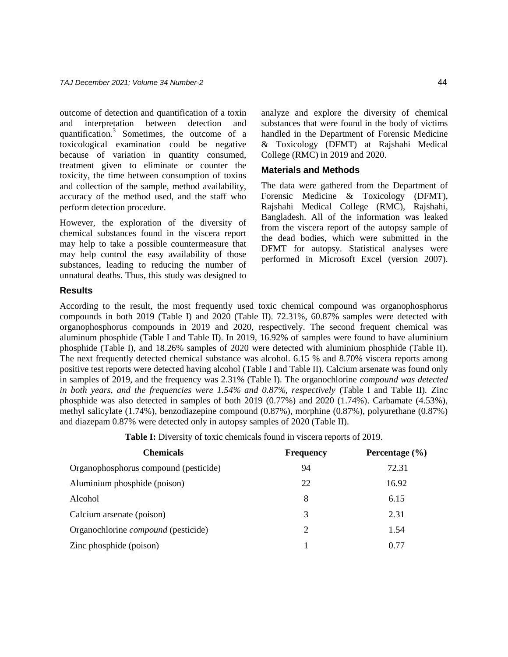outcome of detection and quantification of a toxin and interpretation between detection and quantification.<sup>3</sup> Sometimes, the outcome of a toxicological examination could be negative because of variation in quantity consumed, treatment given to eliminate or counter the toxicity, the time between consumption of toxins and collection of the sample, method availability, accuracy of the method used, and the staff who perform detection procedure.

However, the exploration of the diversity of chemical substances found in the viscera report may help to take a possible countermeasure that may help control the easy availability of those substances, leading to reducing the number of unnatural deaths. Thus, this study was designed to analyze and explore the diversity of chemical substances that were found in the body of victims handled in the Department of Forensic Medicine & Toxicology (DFMT) at Rajshahi Medical College (RMC) in 2019 and 2020.

#### **Materials and Methods**

The data were gathered from the Department of Forensic Medicine & Toxicology (DFMT), Rajshahi Medical College (RMC), Rajshahi, Bangladesh. All of the information was leaked from the viscera report of the autopsy sample of the dead bodies, which were submitted in the DFMT for autopsy. Statistical analyses were performed in Microsoft Excel (version 2007).

#### **Results**

According to the result, the most frequently used toxic chemical compound was organophosphorus compounds in both 2019 (Table I) and 2020 (Table II). 72.31%, 60.87% samples were detected with organophosphorus compounds in 2019 and 2020, respectively. The second frequent chemical was aluminum phosphide (Table I and Table II). In 2019, 16.92% of samples were found to have aluminium phosphide (Table I), and 18.26% samples of 2020 were detected with aluminium phosphide (Table II). The next frequently detected chemical substance was alcohol. 6.15 % and 8.70% viscera reports among positive test reports were detected having alcohol (Table I and Table II). Calcium arsenate was found only in samples of 2019, and the frequency was 2.31% (Table I). The organochlorine *compound was detected in both years, and the frequencies were 1.54% and 0.87%, respectively* (Table I and Table II)*.* Zinc phosphide was also detected in samples of both 2019 (0.77%) and 2020 (1.74%). Carbamate (4.53%), methyl salicylate (1.74%), benzodiazepine compound (0.87%), morphine (0.87%), polyurethane (0.87%) and diazepam 0.87% were detected only in autopsy samples of 2020 (Table II).

**Table I:** Diversity of toxic chemicals found in viscera reports of 2019.

| <b>Chemicals</b>                           | <b>Frequency</b> | Percentage $(\% )$ |
|--------------------------------------------|------------------|--------------------|
| Organophosphorus compound (pesticide)      | 94               | 72.31              |
| Aluminium phosphide (poison)               | 22               | 16.92              |
| Alcohol                                    | 8                | 6.15               |
| Calcium arsenate (poison)                  | 3                | 2.31               |
| Organochlorine <i>compound</i> (pesticide) | 2                | 1.54               |
| Zinc phosphide (poison)                    |                  | 0.77               |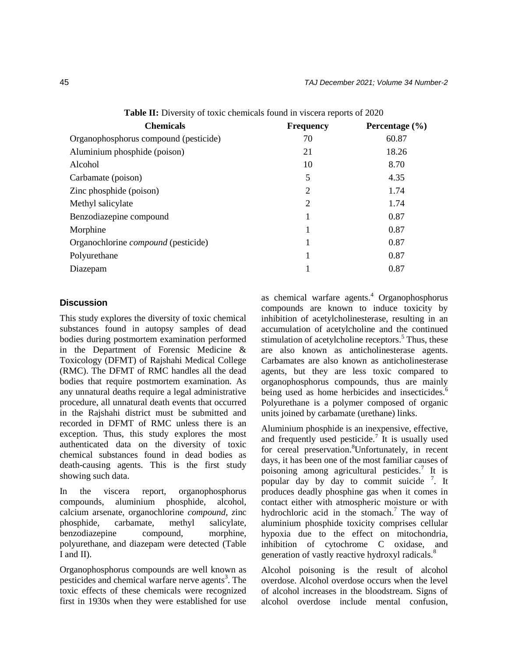| <b>Chemicals</b>                           | <b>Frequency</b> | Percentage $(\% )$ |
|--------------------------------------------|------------------|--------------------|
| Organophosphorus compound (pesticide)      | 70               | 60.87              |
| Aluminium phosphide (poison)               | 21               | 18.26              |
| Alcohol                                    | 10               | 8.70               |
| Carbamate (poison)                         | 5                | 4.35               |
| Zinc phosphide (poison)                    | 2                | 1.74               |
| Methyl salicylate                          | 2                | 1.74               |
| Benzodiazepine compound                    |                  | 0.87               |
| Morphine                                   |                  | 0.87               |
| Organochlorine <i>compound</i> (pesticide) |                  | 0.87               |
| Polyurethane                               |                  | 0.87               |
| Diazepam                                   |                  | 0.87               |

**Table II:** Diversity of toxic chemicals found in viscera reports of 2020

#### **Discussion**

This study explores the diversity of toxic chemical substances found in autopsy samples of dead bodies during postmortem examination performed in the Department of Forensic Medicine & Toxicology (DFMT) of Rajshahi Medical College (RMC). The DFMT of RMC handles all the dead bodies that require postmortem examination. As any unnatural deaths require a legal administrative procedure, all unnatural death events that occurred in the Rajshahi district must be submitted and recorded in DFMT of RMC unless there is an exception. Thus, this study explores the most authenticated data on the diversity of toxic chemical substances found in dead bodies as death-causing agents. This is the first study showing such data.

In the viscera report, organophosphorus compounds, aluminium phosphide, alcohol, calcium arsenate, organochlorine *compound, z*inc phosphide, carbamate, methyl salicylate, benzodiazepine compound, morphine, polyurethane, and diazepam were detected (Table I and II).

Organophosphorus compounds are well known as pesticides and chemical warfare nerve agents<sup>3</sup>. The toxic effects of these chemicals were recognized first in 1930s when they were established for use as chemical warfare agents.<sup>4</sup> Organophosphorus compounds are known to induce toxicity by inhibition of acetylcholinesterase, resulting in an accumulation of acetylcholine and the continued stimulation of acetylcholine receptors.<sup>5</sup> Thus, these are also known as anticholinesterase agents. Carbamates are also known as anticholinesterase agents, but they are less toxic compared to organophosphorus compounds, thus are mainly being used as home herbicides and insecticides.<sup>6</sup> Polyurethane is a polymer composed of organic units joined by carbamate (urethane) links.

Aluminium phosphide is an inexpensive, effective, and frequently used pesticide.<sup>7</sup> It is usually used for cereal preservation.<sup>8</sup>Unfortunately, in recent days, it has been one of the most familiar causes of poisoning among agricultural pesticides.<sup>7</sup> It is popular day by day to commit suicide  $\frac{7}{1}$ . It produces deadly phosphine gas when it comes in contact either with atmospheric moisture or with hydrochloric acid in the stomach.<sup>7</sup> The way of aluminium phosphide toxicity comprises cellular hypoxia due to the effect on mitochondria, inhibition of cytochrome C oxidase, and generation of vastly reactive hydroxyl radicals.<sup>8</sup>

Alcohol poisoning is the result of alcohol overdose. Alcohol overdose occurs when the level of alcohol increases in the bloodstream. Signs of alcohol overdose include mental confusion,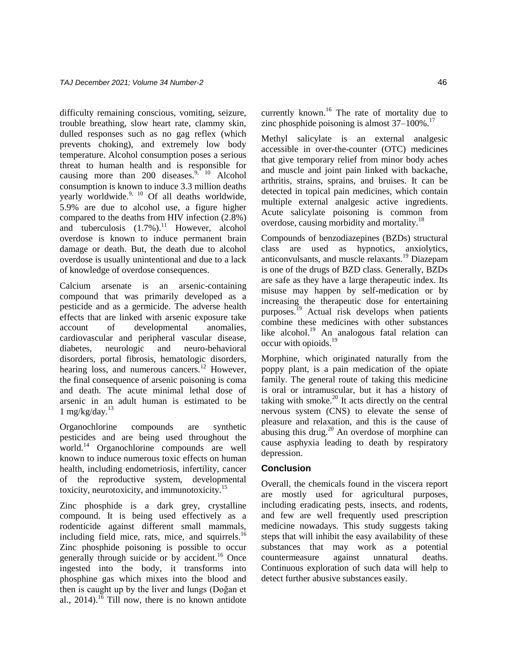difficulty remaining conscious, vomiting, seizure, trouble breathing, slow heart rate, clammy skin, dulled responses such as no gag reflex (which prevents choking), and extremely low body temperature. Alcohol consumption poses a serious threat to human health and is responsible for causing more than 200 diseases.<sup>9, 10</sup> Alcohol consumption is known to induce 3.3 million deaths yearly worldwide.<sup>9, 10</sup> Of all deaths worldwide, 5.9% are due to alcohol use, a figure higher compared to the deaths from HIV infection (2.8%) and tuberculosis  $(1.7\%)$ .<sup>11</sup> However, alcohol overdose is known to induce permanent brain damage or death. But, the death due to alcohol overdose is usually unintentional and due to a lack of knowledge of overdose consequences.

Calcium arsenate is an arsenic-containing compound that was primarily developed as a pesticide and as a germicide. The adverse health effects that are linked with arsenic exposure take account of developmental anomalies, cardiovascular and peripheral vascular disease, diabetes, neurologic and neuro-behavioral disorders, portal fibrosis, hematologic disorders, hearing loss, and numerous cancers.<sup>12</sup> However, the final consequence of arsenic poisoning is coma and death. The acute minimal lethal dose of arsenic in an adult human is estimated to be  $1$  mg/kg/day. $^{13}$ 

Organochlorine compounds are synthetic pesticides and are being used throughout the world.<sup>14</sup> Organochlorine compounds are well known to induce numerous toxic effects on human health, including endometriosis, infertility, cancer of the reproductive system, developmental toxicity, neurotoxicity, and immunotoxicity.<sup>15</sup>

Zinc phosphide is a dark grey, crystalline compound. It is being used effectively as a rodenticide against different small mammals, including field mice, rats, mice, and squirrels. $^{16}$ Zinc phosphide poisoning is possible to occur generally through suicide or by accident.<sup>16</sup> Once ingested into the body, it transforms into phosphine gas which mixes into the blood and then is caught up by the liver and lungs (Doğan et al.,  $2014$ .<sup>16</sup> Till now, there is no known antidote currently known.<sup>16</sup> The rate of mortality due to zinc phosphide poisoning is almost  $37-100\%$ .<sup>17</sup>

Methyl salicylate is an external analgesic accessible in over-the-counter (OTC) medicines that give temporary relief from minor body aches and muscle and joint pain linked with backache, arthritis, strains, sprains, and bruises. It can be detected in topical pain medicines, which contain multiple external analgesic active ingredients. Acute salicylate poisoning is common from overdose, causing morbidity and mortality.<sup>18</sup>

Compounds of benzodiazepines (BZDs) structural class are used as hypnotics, anxiolytics, anticonvulsants, and muscle relaxants.<sup>19</sup> Diazepam is one of the drugs of BZD class. Generally, BZDs are safe as they have a large therapeutic index. Its misuse may happen by self-medication or by increasing the therapeutic dose for entertaining purposes.<sup>19</sup> Actual risk develops when patients combine these medicines with other substances like alcohol.<sup>19</sup> An analogous fatal relation can occur with opioids.<sup>19</sup>

Morphine, which originated naturally from the poppy plant, is a pain medication of the opiate family. The general route of taking this medicine is oral or intramuscular, but it has a history of taking with smoke. $20$  It acts directly on the central nervous system (CNS) to elevate the sense of pleasure and relaxation, and this is the cause of abusing this drug.<sup>20</sup> An overdose of morphine can cause asphyxia leading to death by respiratory depression.

#### **Conclusion**

Overall, the chemicals found in the viscera report are mostly used for agricultural purposes, including eradicating pests, insects, and rodents, and few are well frequently used prescription medicine nowadays. This study suggests taking steps that will inhibit the easy availability of these substances that may work as a potential countermeasure against unnatural deaths. Continuous exploration of such data will help to detect further abusive substances easily.